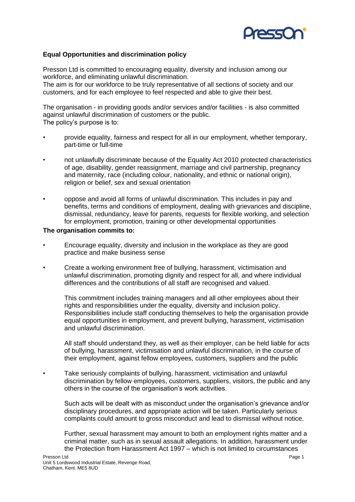

## **Equal Opportunities and discrimination policy**

Presson Ltd is committed to encouraging equality, diversity and inclusion among our workforce, and eliminating unlawful discrimination.

The aim is for our workforce to be truly representative of all sections of society and our customers, and for each employee to feel respected and able to give their best.

The organisation - in providing goods and/or services and/or facilities - is also committed against unlawful discrimination of customers or the public. The policy's purpose is to:

- provide equality, fairness and respect for all in our employment, whether temporary, part-time or full-time
- not unlawfully discriminate because of the Equality Act 2010 protected characteristics of age, disability, gender reassignment, marriage and civil partnership, pregnancy and maternity, race (including colour, nationality, and ethnic or national origin), religion or belief, sex and sexual orientation
- oppose and avoid all forms of unlawful discrimination. This includes in pay and benefits, terms and conditions of employment, dealing with grievances and discipline, dismissal, redundancy, leave for parents, requests for flexible working, and selection for employment, promotion, training or other developmental opportunities

## **The organisation commits to:**

- Encourage equality, diversity and inclusion in the workplace as they are good practice and make business sense
- Create a working environment free of bullying, harassment, victimisation and unlawful discrimination, promoting dignity and respect for all, and where individual differences and the contributions of all staff are recognised and valued.

This commitment includes training managers and all other employees about their rights and responsibilities under the equality, diversity and inclusion policy. Responsibilities include staff conducting themselves to help the organisation provide equal opportunities in employment, and prevent bullying, harassment, victimisation and unlawful discrimination.

All staff should understand they, as well as their employer, can be held liable for acts of bullying, harassment, victimisation and unlawful discrimination, in the course of their employment, against fellow employees, customers, suppliers and the public

• Take seriously complaints of bullying, harassment, victimisation and unlawful discrimination by fellow employees, customers, suppliers, visitors, the public and any others in the course of the organisation's work activities.

Such acts will be dealt with as misconduct under the organisation's grievance and/or disciplinary procedures, and appropriate action will be taken. Particularly serious complaints could amount to gross misconduct and lead to dismissal without notice.

Further, sexual harassment may amount to both an employment rights matter and a criminal matter, such as in sexual assault allegations. In addition, harassment under the Protection from Harassment Act 1997 – which is not limited to circumstances